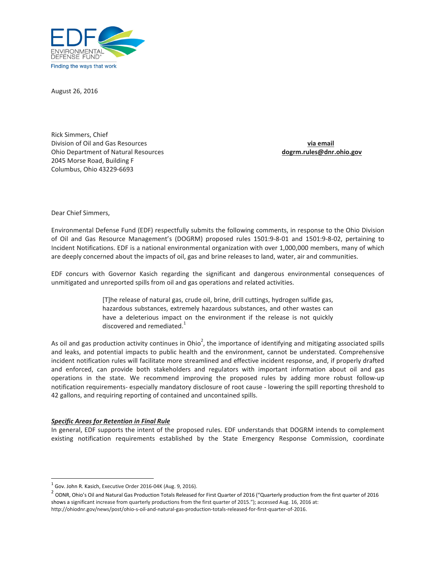

August 26, 2016

Rick Simmers, Chief Division of Oil and Gas Resources via email and the set of the set of the set of the set of the set of the set of the set of the set of the set of the set of the set of the set of the set of the set of the set of the set o Ohio Department of Natural Resources dogrm.rules@dnr.ohio.gov 2045 Morse Road, Building F Columbus, Ohio 43229-6693

Dear Chief Simmers,

Environmental Defense Fund (EDF) respectfully submits the following comments, in response to the Ohio Division of Oil and Gas Resource Management's (DOGRM) proposed rules 1501:9-8-01 and 1501:9-8-02, pertaining to Incident Notifications. EDF is a national environmental organization with over 1,000,000 members, many of which are deeply concerned about the impacts of oil, gas and brine releases to land, water, air and communities.

EDF concurs with Governor Kasich regarding the significant and dangerous environmental consequences of unmitigated and unreported spills from oil and gas operations and related activities.

> [T]he release of natural gas, crude oil, brine, drill cuttings, hydrogen sulfide gas, hazardous substances, extremely hazardous substances, and other wastes can have a deleterious impact on the environment if the release is not quickly discovered and remediated.<sup>1</sup>

As oil and gas production activity continues in Ohio<sup>2</sup>, the importance of identifying and mitigating associated spills and leaks, and potential impacts to public health and the environment, cannot be understated. Comprehensive incident notification rules will facilitate more streamlined and effective incident response, and, if properly drafted and enforced, can provide both stakeholders and regulators with important information about oil and gas operations in the state. We recommend improving the proposed rules by adding more robust follow-up notification requirements- especially mandatory disclosure of root cause - lowering the spill reporting threshold to 42 gallons, and requiring reporting of contained and uncontained spills.

#### Specific Areas for Retention in Final Rule

l

In general, EDF supports the intent of the proposed rules. EDF understands that DOGRM intends to complement existing notification requirements established by the State Emergency Response Commission, coordinate

 $<sup>1</sup>$  Gov. John R. Kasich, Executive Order 2016-04K (Aug. 9, 2016).</sup>

 $^2$  ODNR, Ohio's Oil and Natural Gas Production Totals Released for First Quarter of 2016 ("Quarterly production from the first quarter of 2016 shows a significant increase from quarterly productions from the first quarter of 2015."); accessed Aug. 16, 2016 at: http://ohiodnr.gov/news/post/ohio-s-oil-and-natural-gas-production-totals-released-for-first-quarter-of-2016.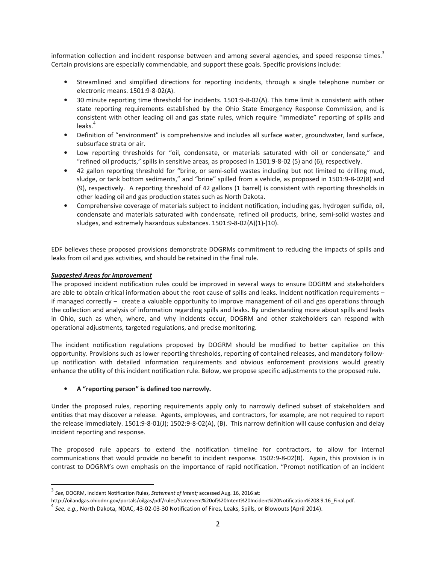information collection and incident response between and among several agencies, and speed response times.<sup>3</sup> Certain provisions are especially commendable, and support these goals. Specific provisions include:

- Streamlined and simplified directions for reporting incidents, through a single telephone number or electronic means. 1501:9-8-02(A).
- 30 minute reporting time threshold for incidents. 1501:9-8-02(A). This time limit is consistent with other state reporting requirements established by the Ohio State Emergency Response Commission, and is consistent with other leading oil and gas state rules, which require "immediate" reporting of spills and leaks.<sup>4</sup>
- Definition of "environment" is comprehensive and includes all surface water, groundwater, land surface, subsurface strata or air.
- Low reporting thresholds for "oil, condensate, or materials saturated with oil or condensate," and "refined oil products," spills in sensitive areas, as proposed in 1501:9-8-02 (5) and (6), respectively.
- 42 gallon reporting threshold for "brine, or semi-solid wastes including but not limited to drilling mud, sludge, or tank bottom sediments," and "brine" spilled from a vehicle, as proposed in 1501:9-8-02(8) and (9), respectively. A reporting threshold of 42 gallons (1 barrel) is consistent with reporting thresholds in other leading oil and gas production states such as North Dakota.
- Comprehensive coverage of materials subject to incident notification, including gas, hydrogen sulfide, oil, condensate and materials saturated with condensate, refined oil products, brine, semi-solid wastes and sludges, and extremely hazardous substances. 1501:9-8-02(A)(1)-(10).

EDF believes these proposed provisions demonstrate DOGRMs commitment to reducing the impacts of spills and leaks from oil and gas activities, and should be retained in the final rule.

## Suggested Areas for Improvement

 $\overline{a}$ 

The proposed incident notification rules could be improved in several ways to ensure DOGRM and stakeholders are able to obtain critical information about the root cause of spills and leaks. Incident notification requirements – if managed correctly – create a valuable opportunity to improve management of oil and gas operations through the collection and analysis of information regarding spills and leaks. By understanding more about spills and leaks in Ohio, such as when, where, and why incidents occur, DOGRM and other stakeholders can respond with operational adjustments, targeted regulations, and precise monitoring.

The incident notification regulations proposed by DOGRM should be modified to better capitalize on this opportunity. Provisions such as lower reporting thresholds, reporting of contained releases, and mandatory followup notification with detailed information requirements and obvious enforcement provisions would greatly enhance the utility of this incident notification rule. Below, we propose specific adjustments to the proposed rule.

## • A "reporting person" is defined too narrowly.

Under the proposed rules, reporting requirements apply only to narrowly defined subset of stakeholders and entities that may discover a release. Agents, employees, and contractors, for example, are not required to report the release immediately. 1501:9-8-01(J); 1502:9-8-02(A), (B). This narrow definition will cause confusion and delay incident reporting and response.

The proposed rule appears to extend the notification timeline for contractors, to allow for internal communications that would provide no benefit to incident response. 1502:9-8-02(B). Again, this provision is in contrast to DOGRM's own emphasis on the importance of rapid notification. "Prompt notification of an incident

 $3$  See, DOGRM, Incident Notification Rules, Statement of Intent; accessed Aug. 16, 2016 at:

http://oilandgas.ohiodnr.gov/portals/oilgas/pdf/rules/Statement%20of%20Intent%20Incident%20Notification%208.9.16\_Final.pdf.

<sup>4</sup> See, e.g., North Dakota, NDAC, 43-02-03-30 Notification of Fires, Leaks, Spills, or Blowouts (April 2014).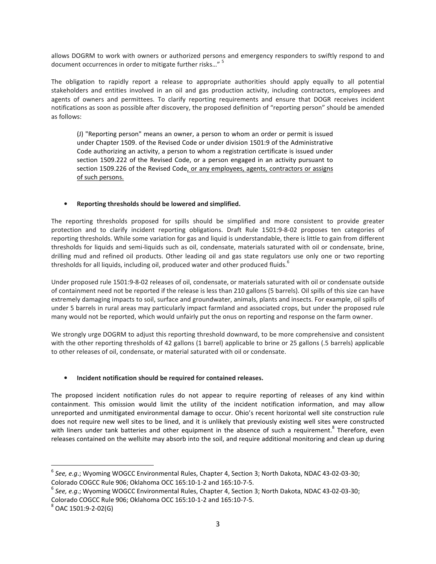allows DOGRM to work with owners or authorized persons and emergency responders to swiftly respond to and document occurrences in order to mitigate further risks..."<sup>5</sup>

The obligation to rapidly report a release to appropriate authorities should apply equally to all potential stakeholders and entities involved in an oil and gas production activity, including contractors, employees and agents of owners and permittees. To clarify reporting requirements and ensure that DOGR receives incident notifications as soon as possible after discovery, the proposed definition of "reporting person" should be amended as follows:

(J) "Reporting person" means an owner, a person to whom an order or permit is issued under Chapter 1509. of the Revised Code or under division 1501:9 of the Administrative Code authorizing an activity, a person to whom a registration certificate is issued under section 1509.222 of the Revised Code, or a person engaged in an activity pursuant to section 1509.226 of the Revised Code, or any employees, agents, contractors or assigns of such persons.

# • Reporting thresholds should be lowered and simplified.

The reporting thresholds proposed for spills should be simplified and more consistent to provide greater protection and to clarify incident reporting obligations. Draft Rule 1501:9-8-02 proposes ten categories of reporting thresholds. While some variation for gas and liquid is understandable, there is little to gain from different thresholds for liquids and semi-liquids such as oil, condensate, materials saturated with oil or condensate, brine, drilling mud and refined oil products. Other leading oil and gas state regulators use only one or two reporting thresholds for all liquids, including oil, produced water and other produced fluids.<sup>6</sup>

Under proposed rule 1501:9-8-02 releases of oil, condensate, or materials saturated with oil or condensate outside of containment need not be reported if the release is less than 210 gallons (5 barrels). Oil spills of this size can have extremely damaging impacts to soil, surface and groundwater, animals, plants and insects. For example, oil spills of under 5 barrels in rural areas may particularly impact farmland and associated crops, but under the proposed rule many would not be reported, which would unfairly put the onus on reporting and response on the farm owner.

We strongly urge DOGRM to adjust this reporting threshold downward, to be more comprehensive and consistent with the other reporting thresholds of 42 gallons (1 barrel) applicable to brine or 25 gallons (.5 barrels) applicable to other releases of oil, condensate, or material saturated with oil or condensate.

## • Incident notification should be required for contained releases.

The proposed incident notification rules do not appear to require reporting of releases of any kind within containment. This omission would limit the utility of the incident notification information, and may allow unreported and unmitigated environmental damage to occur. Ohio's recent horizontal well site construction rule does not require new well sites to be lined, and it is unlikely that previously existing well sites were constructed with liners under tank batteries and other equipment in the absence of such a requirement.<sup>8</sup> Therefore, even releases contained on the wellsite may absorb into the soil, and require additional monitoring and clean up during

l

 $^6$  See, e.g.; Wyoming WOGCC Environmental Rules, Chapter 4, Section 3; North Dakota, NDAC 43-02-03-30; Colorado COGCC Rule 906; Oklahoma OCC 165:10-1-2 and 165:10-7-5.

 $^6$  See, e.g.; Wyoming WOGCC Environmental Rules, Chapter 4, Section 3; North Dakota, NDAC 43-02-03-30; Colorado COGCC Rule 906; Oklahoma OCC 165:10-1-2 and 165:10-7-5.

 $8^{8}$  OAC 1501:9-2-02(G)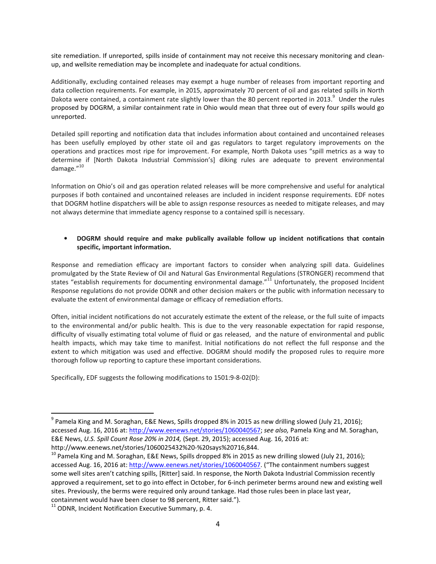site remediation. If unreported, spills inside of containment may not receive this necessary monitoring and cleanup, and wellsite remediation may be incomplete and inadequate for actual conditions.

Additionally, excluding contained releases may exempt a huge number of releases from important reporting and data collection requirements. For example, in 2015, approximately 70 percent of oil and gas related spills in North Dakota were contained, a containment rate slightly lower than the 80 percent reported in 2013.<sup>9</sup> Under the rules proposed by DOGRM, a similar containment rate in Ohio would mean that three out of every four spills would go unreported.

Detailed spill reporting and notification data that includes information about contained and uncontained releases has been usefully employed by other state oil and gas regulators to target regulatory improvements on the operations and practices most ripe for improvement. For example, North Dakota uses "spill metrics as a way to determine if [North Dakota Industrial Commission's] diking rules are adequate to prevent environmental damage."<sup>10</sup>

Information on Ohio's oil and gas operation related releases will be more comprehensive and useful for analytical purposes if both contained and uncontained releases are included in incident response requirements. EDF notes that DOGRM hotline dispatchers will be able to assign response resources as needed to mitigate releases, and may not always determine that immediate agency response to a contained spill is necessary.

## • DOGRM should require and make publically available follow up incident notifications that contain specific, important information.

Response and remediation efficacy are important factors to consider when analyzing spill data. Guidelines promulgated by the State Review of Oil and Natural Gas Environmental Regulations (STRONGER) recommend that states "establish requirements for documenting environmental damage."<sup>11</sup> Unfortunately, the proposed Incident Response regulations do not provide ODNR and other decision makers or the public with information necessary to evaluate the extent of environmental damage or efficacy of remediation efforts.

Often, initial incident notifications do not accurately estimate the extent of the release, or the full suite of impacts to the environmental and/or public health. This is due to the very reasonable expectation for rapid response, difficulty of visually estimating total volume of fluid or gas released, and the nature of environmental and public health impacts, which may take time to manifest. Initial notifications do not reflect the full response and the extent to which mitigation was used and effective. DOGRM should modify the proposed rules to require more thorough follow up reporting to capture these important considerations.

Specifically, EDF suggests the following modifications to 1501:9-8-02(D):

l

<sup>&</sup>lt;sup>9</sup> Pamela King and M. Soraghan, E&E News, Spills dropped 8% in 2015 as new drilling slowed (July 21, 2016); accessed Aug. 16, 2016 at: http://www.eenews.net/stories/1060040567; see also, Pamela King and M. Soraghan, E&E News, U.S. Spill Count Rose 20% in 2014, (Sept. 29, 2015); accessed Aug. 16, 2016 at: http://www.eenews.net/stories/1060025432%20-%20says%20716,844.

 $^{10}$  Pamela King and M. Soraghan, E&E News, Spills dropped 8% in 2015 as new drilling slowed (July 21, 2016); accessed Aug. 16, 2016 at: http://www.eenews.net/stories/1060040567. ("The containment numbers suggest some well sites aren't catching spills, [Ritter] said. In response, the North Dakota Industrial Commission recently approved a requirement, set to go into effect in October, for 6-inch perimeter berms around new and existing well sites. Previously, the berms were required only around tankage. Had those rules been in place last year, containment would have been closer to 98 percent, Ritter said.").

 $11$  ODNR, Incident Notification Executive Summary, p. 4.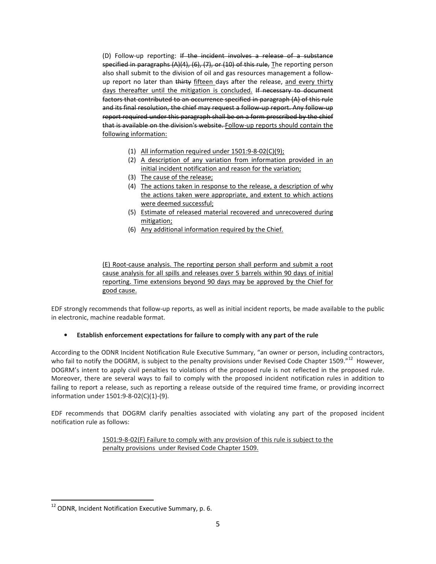(D) Follow-up reporting: If the incident involves a release of a substance specified in paragraphs (A)(4), (6), (7), or (10) of this rule, The reporting person also shall submit to the division of oil and gas resources management a followup report no later than thirty fifteen days after the release, and every thirty days thereafter until the mitigation is concluded. If necessary to document factors that contributed to an occurrence specified in paragraph (A) of this rule and its final resolution, the chief may request a follow-up report. Any follow-up report required under this paragraph shall be on a form prescribed by the chief that is available on the division's website. Follow-up reports should contain the following information:

- (1) All information required under 1501:9-8-02(C)(9);
- (2) A description of any variation from information provided in an initial incident notification and reason for the variation;
- (3) The cause of the release;
- (4) The actions taken in response to the release, a description of why the actions taken were appropriate, and extent to which actions were deemed successful;
- (5) Estimate of released material recovered and unrecovered during mitigation;
- (6) Any additional information required by the Chief.

(E) Root-cause analysis. The reporting person shall perform and submit a root cause analysis for all spills and releases over 5 barrels within 90 days of initial reporting. Time extensions beyond 90 days may be approved by the Chief for good cause.

EDF strongly recommends that follow-up reports, as well as initial incident reports, be made available to the public in electronic, machine readable format.

# • Establish enforcement expectations for failure to comply with any part of the rule

According to the ODNR Incident Notification Rule Executive Summary, "an owner or person, including contractors, who fail to notify the DOGRM, is subject to the penalty provisions under Revised Code Chapter 1509."<sup>12</sup> However, DOGRM's intent to apply civil penalties to violations of the proposed rule is not reflected in the proposed rule. Moreover, there are several ways to fail to comply with the proposed incident notification rules in addition to failing to report a release, such as reporting a release outside of the required time frame, or providing incorrect information under 1501:9-8-02(C)(1)-(9).

EDF recommends that DOGRM clarify penalties associated with violating any part of the proposed incident notification rule as follows:

> 1501:9-8-02(F) Failure to comply with any provision of this rule is subject to the penalty provisions under Revised Code Chapter 1509.

<sup>&</sup>lt;sup>12</sup> ODNR, Incident Notification Executive Summary, p. 6.